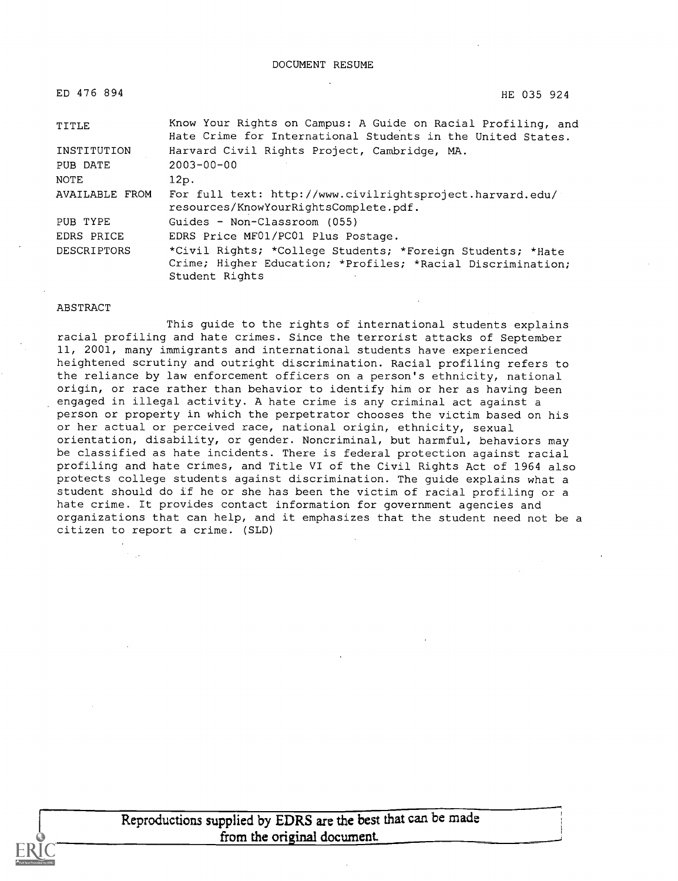| ED 476 894         | HE 035 924                                                                                                                                  |
|--------------------|---------------------------------------------------------------------------------------------------------------------------------------------|
| TITLE              | Know Your Rights on Campus: A Guide on Racial Profiling, and<br>Hate Crime for International Students in the United States.                 |
| INSTITUTION        | Harvard Civil Rights Project, Cambridge, MA.                                                                                                |
| PUB DATE           | $2003 - 00 - 00$                                                                                                                            |
| NOTE               | 12p.                                                                                                                                        |
| AVAILABLE FROM     | For full text: http://www.civilrightsproject.harvard.edu/<br>resources/KnowYourRightsComplete.pdf.                                          |
| PUB TYPE           | Guides - Non-Classroom (055)                                                                                                                |
| EDRS PRICE         | EDRS Price MF01/PC01 Plus Postage.                                                                                                          |
| <b>DESCRIPTORS</b> | *Civil Rights; *College Students; *Foreign Students; *Hate<br>Crime; Higher Education; *Profiles; *Racial Discrimination;<br>Student Rights |

#### ABSTRACT

This guide to the rights of international students explains racial profiling and hate crimes. Since the terrorist attacks of September 11, 2001, many immigrants and international students have experienced heightened scrutiny and outright discrimination. Racial profiling refers to the reliance by law enforcement officers on a person's ethnicity, national origin, or race rather than behavior to identify him or her as having been engaged in illegal activity. A hate crime is any criminal act against a person or property in which the perpetrator chooses the victim based on his or her actual or perceived race, national origin, ethnicity, sexual orientation, disability, or gender. Noncriminal, but harmful, behaviors may be classified as hate incidents. There is federal protection against racial profiling and hate crimes, and Title VI of the Civil Rights Act of 1964 also protects college students against discrimination. The guide explains what a student should do if he or she has been the victim of racial profiling or a hate crime. It provides contact information for government agencies and organizations that can help, and it emphasizes that the student need not be a citizen to report a crime. (SLD)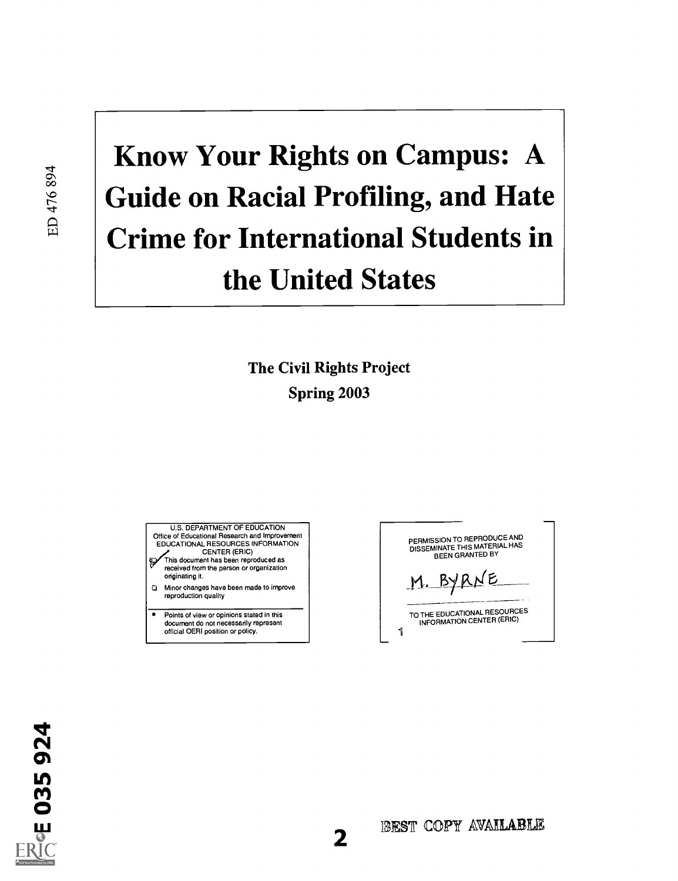# Know Your Rights on Campus: A Guide on Racial Profiling, and Hate Crime for International Students in the United States

The Civil Rights Project Spring 2003

U.S. DEPARTMENT OF EDUCATION Office of Educational Research and Improvement EDUCATIONAL RESOURCES INFORMATION

CENTER (ERIC)<br>This document has been reproduced as<br>received from the person or organization originating it.

Minor changes have been made to improve  $\Omega$ reproduction quality

7 Points of view or opinions stated in this document do not necessarily represent official OERI position or policy.

PERMISSION TO REPRODUCE AND DISSEMINATE THIS MATERIAL HAS BEEN GRANTED BY M. BYRNE TO THE EDUCATIONAL RESOURCES INFORMATION CENTER (ERIC) 1



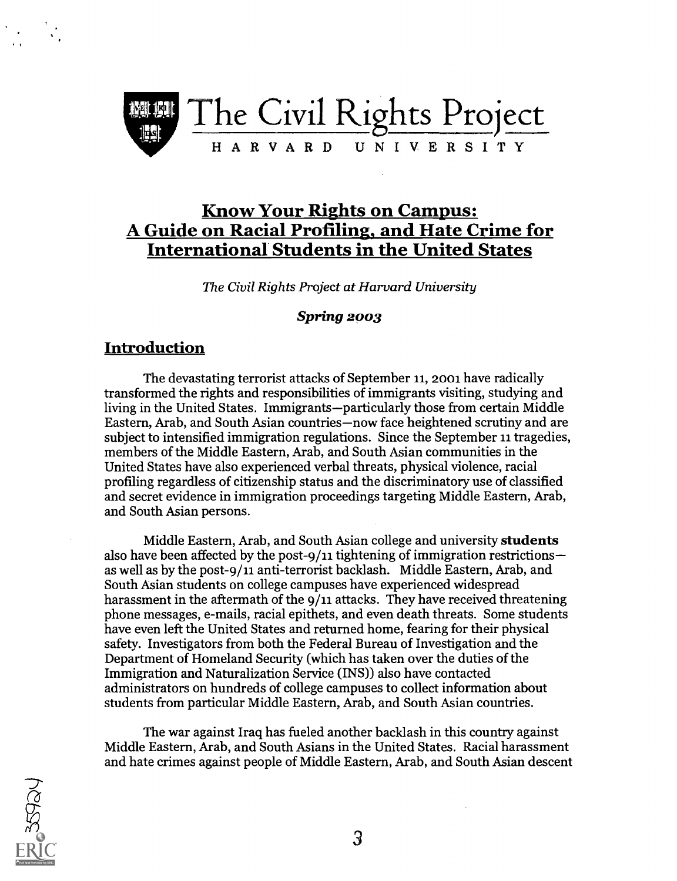

### Know Your Rights on Campus: A Guide on Racial Profiling, and Hate Crime for<br>International Students in the United States

The Civil Rights Project at Harvard University

#### **Spring 2003**

#### Introduction

The devastating terrorist attacks of September 11, 2001 have radically transformed the rights and responsibilities of immigrants visiting, studying and living in the United States. Immigrants—particularly those from certain Middle Eastern, Arab, and South Asian countries—now face heightened scrutiny and are subject to intensified immigration regulations. Since the September 11 tragedies, members of the Middle Eastern, Arab, and South Asian communities in the United States have also experienced verbal threats, physical violence, racial profiling regardless of citizenship status and the discriminatory use of classified and secret evidence in immigration proceedings targeting Middle Eastern, Arab, and South Asian persons.

Middle Eastern, Arab, and South Asian college and university students also have been affected by the post-9/11 tightening of immigration restrictions as well as by the post-9/11 anti-terrorist backlash. Middle Eastern, Arab, and South Asian students on college campuses have experienced widespread harassment in the aftermath of the 9/11 attacks. They have received threatening phone messages, e-mails, racial epithets, and even death threats. Some students have even left the United States and returned home, fearing for their physical safety. Investigators from both the Federal Bureau of Investigation and the Department of Homeland Security (which has taken over the duties of the Immigration and Naturalization Service (INS)) also have contacted administrators on hundreds of college campuses to collect information about students from particular Middle Eastern, Arab, and South Asian countries.

The war against Iraq has fueled another backlash in this country against Middle Eastern, Arab, and South Asians in the United States. Racial harassment and hate crimes against people of Middle Eastern, Arab, and South Asian descent

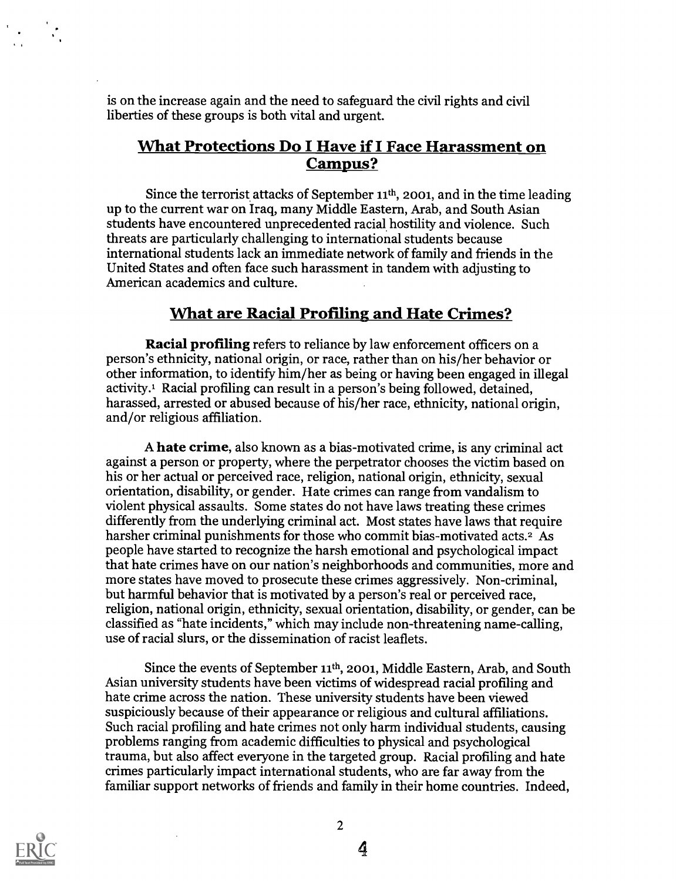is on the increase again and the need to safeguard the civil rights and civil liberties of these groups is both vital and urgent.

#### What Protections Do I Have if I Face Harassment on Campus?

Since the terrorist attacks of September  $11<sup>th</sup>$ , 2001, and in the time leading up to the current war on Iraq, many Middle Eastern, Arab, and South Asian students have encountered unprecedented racial hostility and violence. Such threats are particularly challenging to international students because international students lack an immediate network of family and friends in the United States and often face such harassment in tandem with adjusting to American academics and culture.

#### What are Racial Profiling and Hate Crimes?

Racial profiling refers to reliance by law enforcement officers on a person's ethnicity, national origin, or race, rather than on his/her behavior or other information, to identify him/her as being or having been engaged in illegal activity.1 Racial profiling can result in a person's being followed, detained, harassed, arrested or abused because of his/her race, ethnicity, national origin, and/or religious affiliation.

A hate crime, also known as a bias-motivated crime, is any criminal act against a person or property, where the perpetrator chooses the victim based on his or her actual or perceived race, religion, national origin, ethnicity, sexual orientation, disability, or gender. Hate crimes can range from vandalism to violent physical assaults. Some states do not have laws treating these crimes differently from the underlying criminal act. Most states have laws that require harsher criminal punishments for those who commit bias-motivated acts.<sup>2</sup> As people have started to recognize the harsh emotional and psychological impact that hate crimes have on our nation's neighborhoods and communities, more and more states have moved to prosecute these crimes aggressively. Non-criminal, but harmful behavior that is motivated by a person's real or perceived race, religion, national origin, ethnicity, sexual orientation, disability, or gender, can be classified as "hate incidents," which may include non-threatening name-calling, use of racial slurs, or the dissemination of racist leaflets.

Since the events of September  $11<sup>th</sup>$ , 2001, Middle Eastern, Arab, and South Asian university students have been victims of widespread racial profiling and hate crime across the nation. These university students have been viewed suspiciously because of their appearance or religious and cultural affiliations. Such racial profiling and hate crimes not only harm individual students, causing problems ranging from academic difficulties to physical and psychological trauma, but also affect everyone in the targeted group. Racial profiling and hate crimes particularly impact international students, who are far away from the familiar support networks of friends and family in their home countries. Indeed,

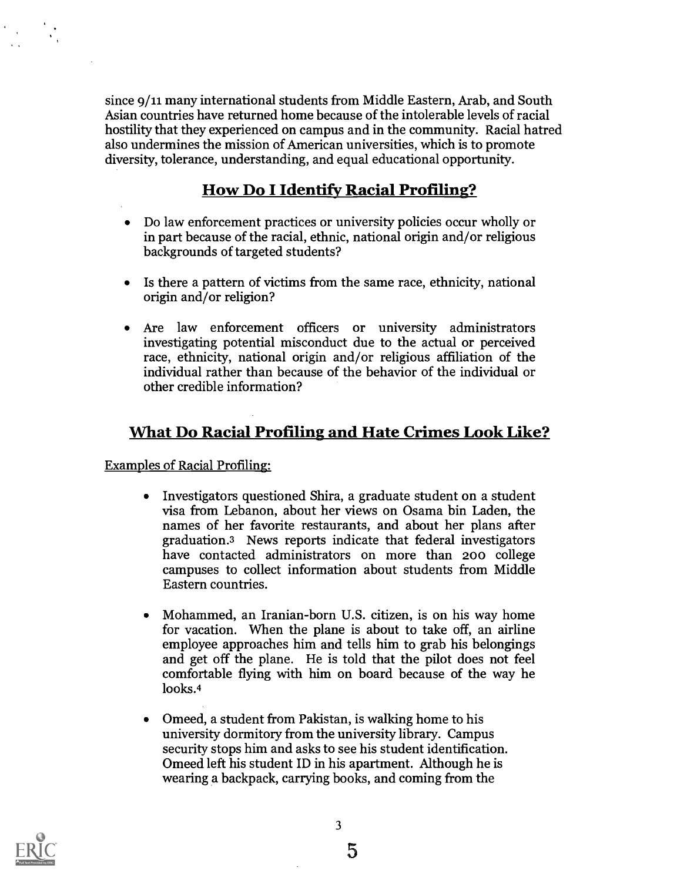since 9/11 many international students from Middle Eastern, Arab, and South Asian countries have returned home because of the intolerable levels of racial hostility that they experienced on campus and in the community. Racial hatred also undermines the mission of American universities, which is to promote diversity, tolerance, understanding, and equal educational opportunity.

#### How Do I Identify Racial Profiling?

- Do law enforcement practices or university policies occur wholly or in part because of the racial, ethnic, national origin and/or religious backgrounds of targeted students?
- Is there a pattern of victims from the same race, ethnicity, national origin and/or religion?
- Are law enforcement officers or university administrators investigating potential misconduct due to the actual or perceived race, ethnicity, national origin and/or religious affiliation of the individual rather than because of the behavior of the individual or other credible information?

#### What Do Racial Profiling and Hate Crimes Look Like?

#### Examples of Racial Profiling:

- Investigators questioned Shira, a graduate student on a student  $\bullet$ visa from Lebanon, about her views on Osama bin Laden, the names of her favorite restaurants, and about her plans after graduation.3 News reports indicate that federal investigators have contacted administrators on more than 200 college campuses to collect information about students from Middle Eastern countries.
- Mohammed, an Iranian-born U.S. citizen, is on his way home for vacation. When the plane is about to take off, an airline employee approaches him and tells him to grab his belongings and get off the plane. He is told that the pilot does not feel comfortable flying with him on board because of the way he looks.4
- Omeed, a student from Pakistan, is walking home to his university dormitory from the university library. Campus security stops him and asks to see his student identification. Omeed left his student ID in his apartment. Although he is wearing a backpack, carrying books, and coming from the

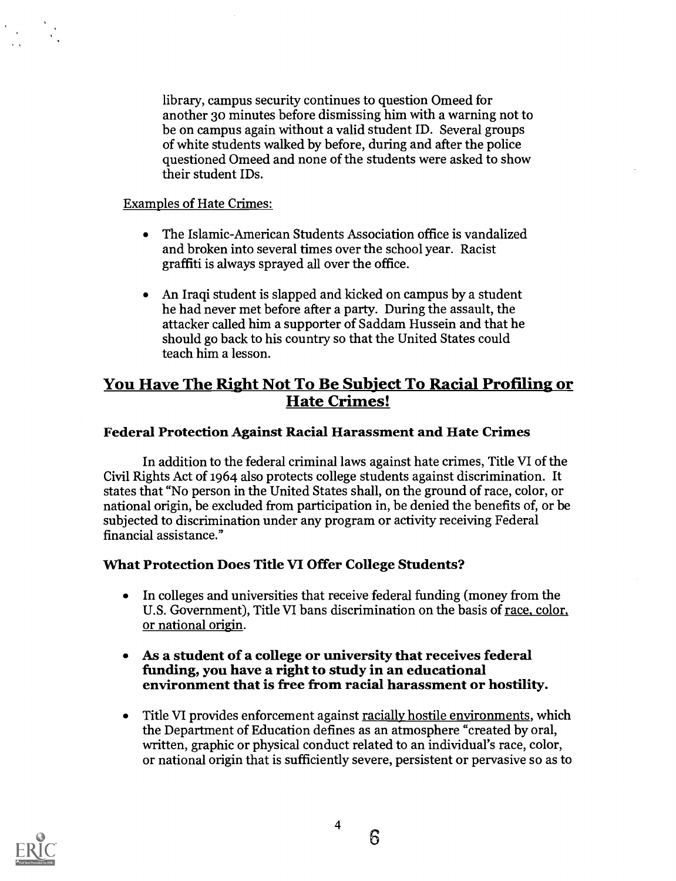library, campus security continues to question Omeed for another 3o minutes before dismissing him with a warning not to be on campus again without a valid student ID. Several groups of white students walked by before, during and after the police questioned Omeed and none of the students were asked to show their student IDs.

#### Examples of Hate Crimes:

- The Islamic-American Students Association office is vandalized and broken into several times over the school year. Racist graffiti is always sprayed all over the office.
- An Iraqi student is slapped and kicked on campus by a student he had never met before after a party. During the assault, the attacker called him a supporter of Saddam Hussein and that he should go back to his country so that the United States could teach him a lesson.

# You Have The Right Not To Be Subject To Racial Profiling or Hate Crimes!

#### Federal Protection Against Racial Harassment and Hate Crimes

In addition to the federal criminal laws against hate crimes, Title VI of the Civil Rights Act of 1964 also protects college students against discrimination. It states that "No person in the United States shall, on the ground of race, color, or national origin, be excluded from participation in, be denied the benefits of, or be subjected to discrimination under any program or activity receiving Federal financial assistance."

#### What Protection Does Title VI Offer College Students?

- In colleges and universities that receive federal funding (money from the  $\bullet$ U.S. Government), Title VI bans discrimination on the basis of race, color, or national origin.
- As a student of a college or university that receives federal funding, you have a right to study in an educational environment that is free from racial harassment or hostility.  $\bullet$
- Title VI provides enforcement against racially hostile environments, which the Department of Education defines as an atmosphere "created by oral, written, graphic or physical conduct related to an individual's race, color, or national origin that is sufficiently severe, persistent or pervasive so as to

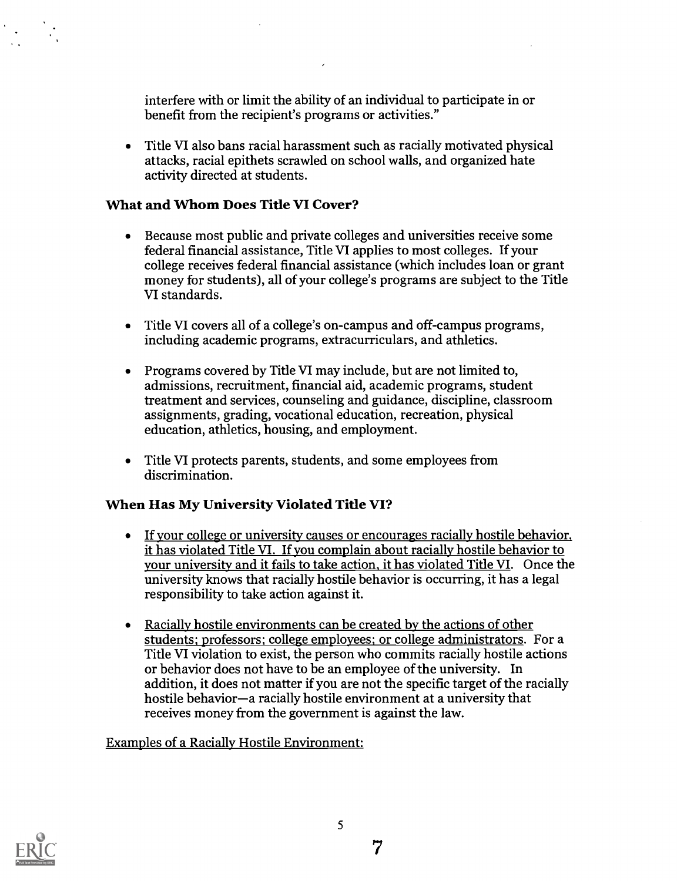interfere with or limit the ability of an individual to participate in or benefit from the recipient's programs or activities."

Title VI also bans racial harassment such as racially motivated physical attacks, racial epithets scrawled on school walls, and organized hate activity directed at students.

#### What and Whom Does Title VI Cover?

- Because most public and private colleges and universities receive some federal financial assistance, Title VI applies to most colleges. If your college receives federal financial assistance (which includes loan or grant money for students), all of your college's programs are subject to the Title VI standards.
- Title VI covers all of a college's on-campus and off -campus programs,  $\bullet$ including academic programs, extracurriculars, and athletics.
- Programs covered by Title VI may include, but are not limited to, admissions, recruitment, financial aid, academic programs, student treatment and services, counseling and guidance, discipline, classroom assignments, grading, vocational education, recreation, physical education, athletics, housing, and employment.
- Title VI protects parents, students, and some employees from discrimination.

#### When Has My University Violated Title VI?

- If your college or university causes or encourages racially hostile behavior, it has violated Title VI. If you complain about racially hostile behavior to your university and it fails to take action, it has violated Title VI. Once the university knows that racially hostile behavior is occurring, it has a legal responsibility to take action against it.
- Racially hostile environments can be created by the actions of other  $\bullet$ students; professors; college employees; or college administrators. For a Title VI violation to exist, the person who commits racially hostile actions or behavior does not have to be an employee of the university. In addition, it does not matter if you are not the specific target of the racially hostile behavior—a racially hostile environment at a university that receives money from the government is against the law.

#### Examples of a Racially Hostile Environment:

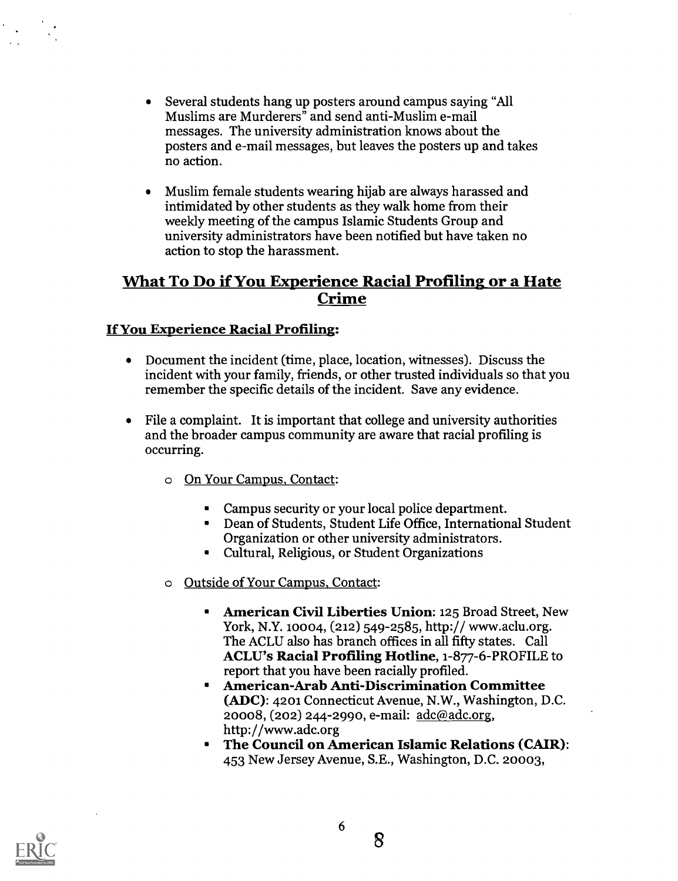- Several students hang up posters around campus saying "All Muslims are Murderers" and send anti-Muslim e-mail messages. The university administration knows about the posters and e-mail messages, but leaves the posters up and takes no action.
- Muslim female students wearing hijab are always harassed and intimidated by other students as they walk home from their weekly meeting of the campus Islamic Students Group and university administrators have been notified but have taken no action to stop the harassment.

# What To Do if You Experience Racial Profiling or a Hate Crime

#### If You Experience Racial Profiling:

- Document the incident (time, place, location, witnesses). Discuss the incident with your family, friends, or other trusted individuals so that you remember the specific details of the incident. Save any evidence.
- File a complaint. It is important that college and university authorities and the broader campus community are aware that racial profiling is occurring.
	- o On Your Campus, Contact:
		- Campus security or your local police department.  $\bullet$
		- Dean of Students, Student Life Office, International Student Organization or other university administrators.
		- Cultural, Religious, or Student Organizations
	- o Outside of Your Campus, Contact:
		- American Civil Liberties Union: 125 Broad Street, New York, N.Y. 10004, (212) 549-2585, http:// www.aclu.org. The ACLU also has branch offices in all fifty states. Call ACLU's Racial Profiling Hotline, 1-877-6-PROFILE to report that you have been racially profiled.
		- American-Arab Anti-Discrimination Committee  $\blacksquare$ (ADC): 4201 Connecticut Avenue, N.W., Washington, D.C. 20008, (202) 244-2990, e-mail: adc@adc.org, http://www.adc.org
		- The Council on American Islamic Relations (CAIR): 453 New Jersey Avenue, S.E., Washington, D.C. 20003,



6

8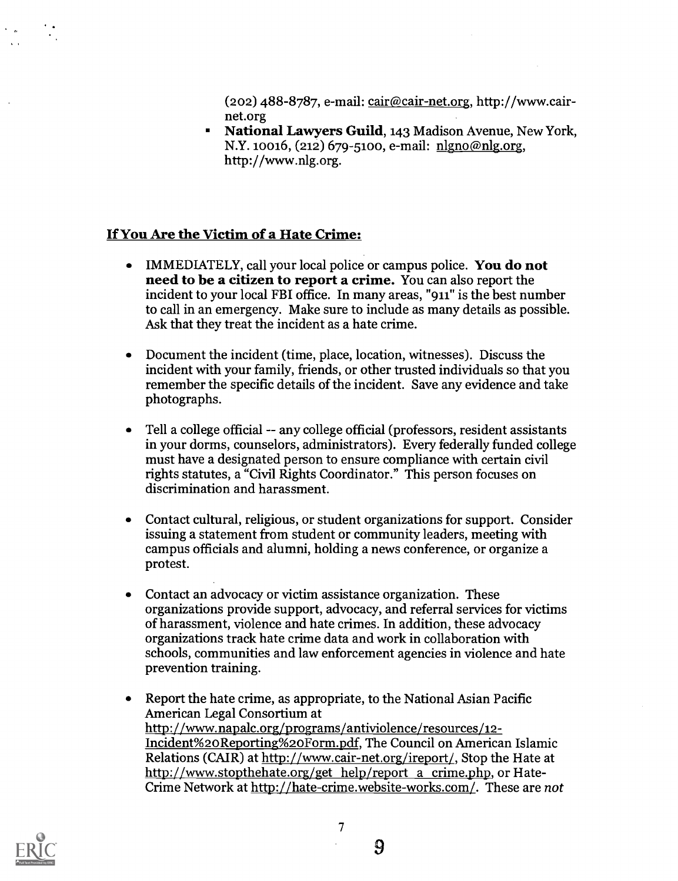$(202)$  488-8787, e-mail: cair@cair-net.org, http://www.cairnet.org

National Lawyers Guild, 143 Madison Avenue, New York, N.Y. 10016, (212) 679-5100, e-mail: nlgno@nlg.org, http://www.nlg.org.

#### If You Are the Victim of a Hate Crime:

- IMMEDIATELY, call your local police or campus police. You do not  $\bullet$ need to be a citizen to report a crime. You can also report the incident to your local FBI office. In many areas, "911" is the best number to call in an emergency. Make sure to include as many details as possible. Ask that they treat the incident as a hate crime.
- Document the incident (time, place, location, witnesses). Discuss the incident with your family, friends, or other trusted individuals so that you remember the specific details of the incident. Save any evidence and take photographs.
- Tell a college official -- any college official (professors, resident assistants in your dorms, counselors, administrators). Every federally funded college must have a designated person to ensure compliance with certain civil rights statutes, a "Civil Rights Coordinator." This person focuses on discrimination and harassment.
- Contact cultural, religious, or student organizations for support. Consider issuing a statement from student or community leaders, meeting with campus officials and alumni, holding a news conference, or organize a protest.
- Contact an advocacy or victim assistance organization. These organizations provide support, advocacy, and referral services for victims of harassment, violence and hate crimes. In addition, these advocacy organizations track hate crime data and work in collaboration with schools, communities and law enforcement agencies in violence and hate prevention training.
- Report the hate crime, as appropriate, to the National Asian Pacific American Legal Consortium at http://www.napalc.org/programs/antiviolence/resources/12- Incident%20Reporting%20Form.pdf, The Council on American Islamic Relations (CAIR) at http://www.cair-net.org/ireport/, Stop the Hate at http://www.stopthehate.org/get help/report a crime.php, or Hate-Crime Network at http://hate-crime.website-works.com/. These are not

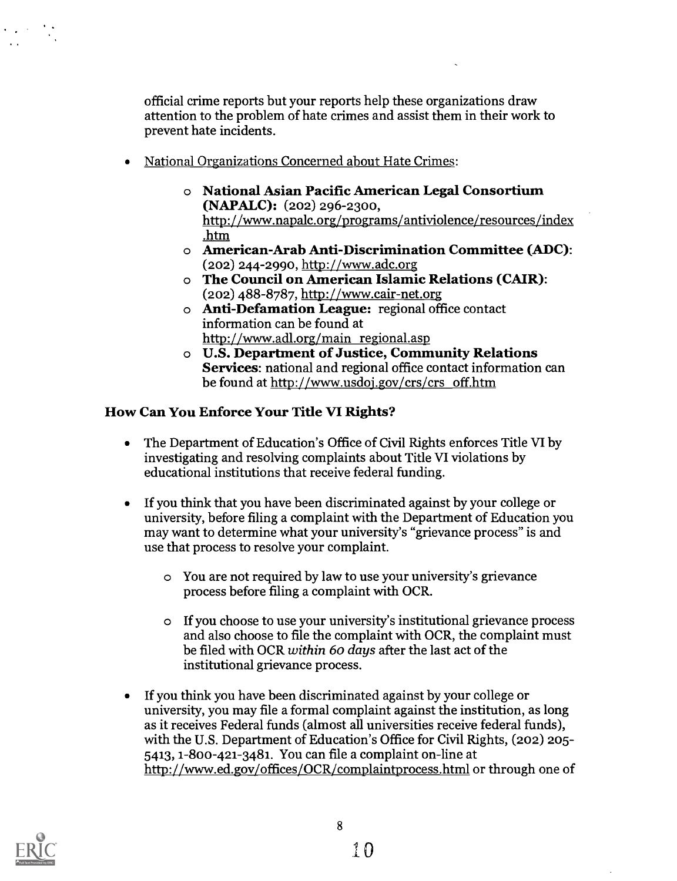official crime reports but your reports help these organizations draw attention to the problem of hate crimes and assist them in their work to prevent hate incidents.

- National Organizations Concerned about Hate Crimes:
	- o National Asian Pacific American Legal Consortium (NAPALC): (202) 296-2300, http://www.napalc.org/programs/antiviolence/resources/index .htm
	- o American-Arab Anti-Discrimination Committee (ADC): (202) 244-2990, http://www.adc.org
	- o The Council on American Islamic Relations (CAIR): (202) 488-8787, http://www.cair-net.org
	- o Anti-Defamation League: regional office contact information can be found at http://www.adl.org/main regional.asp
	- o U.S. Department of Justice, Community Relations Services: national and regional office contact information can be found at http://www.usdoj.gov/crs/crs off.htm

#### How Can You Enforce Your Title VI Rights?

- The Department of Education's Office of Civil Rights enforces Title VI by  $\bullet$ investigating and resolving complaints about Title VI violations by educational institutions that receive federal funding.
- If you think that you have been discriminated against by your college or  $\bullet$ university, before filing a complaint with the Department of Education you may want to determine what your university's "grievance process" is and use that process to resolve your complaint.
	- o You are not required by law to use your university's grievance process before filing a complaint with OCR.
	- o If you choose to use your university's institutional grievance process and also choose to file the complaint with OCR, the complaint must be filed with OCR within 60 days after the last act of the institutional grievance process.
- If you think you have been discriminated against by your college or  $\bullet$ university, you may file a formal complaint against the institution, as long as it receives Federal funds (almost all universities receive federal funds), with the U.S. Department of Education's Office for Civil Rights, (202) 205- 5413, 1-800-421-3481. You can file a complaint on-line at http://www.ed.gov/offices/OCR/complaintprocess.html or through one of



 $\Delta\Delta\sim 1$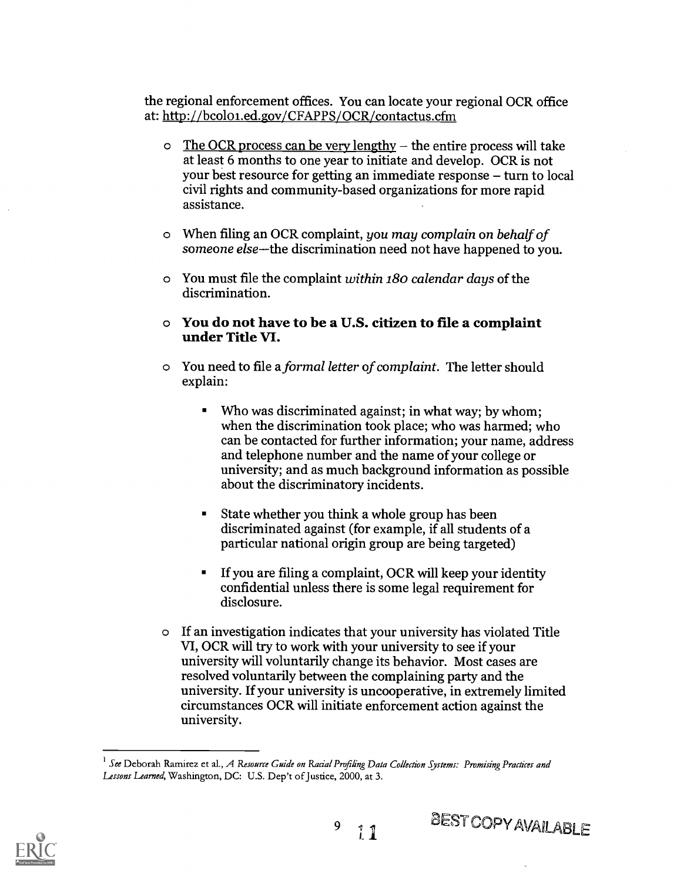the regional enforcement offices. You can locate your regional OCR office at: http://bcoloi.ed.gov/CFAPPS/OCR/contactus.cfm

- $\circ$  The OCR process can be very lengthy the entire process will take at least 6 months to one year to initiate and develop. OCR is not your best resource for getting an immediate response  $-$  turn to local civil rights and community-based organizations for more rapid assistance.
- o When filing an OCR complaint, you may complain on behalf of someone else-the discrimination need not have happened to you.
- o You must file the complaint within 180 calendar days of the discrimination.
- o You do not have to be a U.S. citizen to file a complaint under Title VI.
- o You need to file a formal letter of complaint. The letter should explain:
	- Who was discriminated against; in what way; by whom;  $\blacksquare$ when the discrimination took place; who was harmed; who can be contacted for further information; your name, address and telephone number and the name of your college or university; and as much background information as possible about the discriminatory incidents.
	- $\blacksquare$ State whether you think a whole group has been discriminated against (for example, if all students of a particular national origin group are being targeted)
	- If you are filing a complaint, OCR will keep your identity  $\blacksquare$ confidential unless there is some legal requirement for disclosure.
- o If an investigation indicates that your university has violated Title VI, OCR will try to work with your university to see if your university will voluntarily change its behavior. Most cases are resolved voluntarily between the complaining party and the university. If your university is uncooperative, in extremely limited circumstances OCR will initiate enforcement action against the university.

 $11$ 

9



 $<sup>1</sup>$  See Deborah Ramirez et al., A Resource Guide on Racial Profiling Data Collection Systems: Promising Practices and</sup> Lessons Learned, Washington, DC: U.S. Dep't of Justice, 2000, at 3.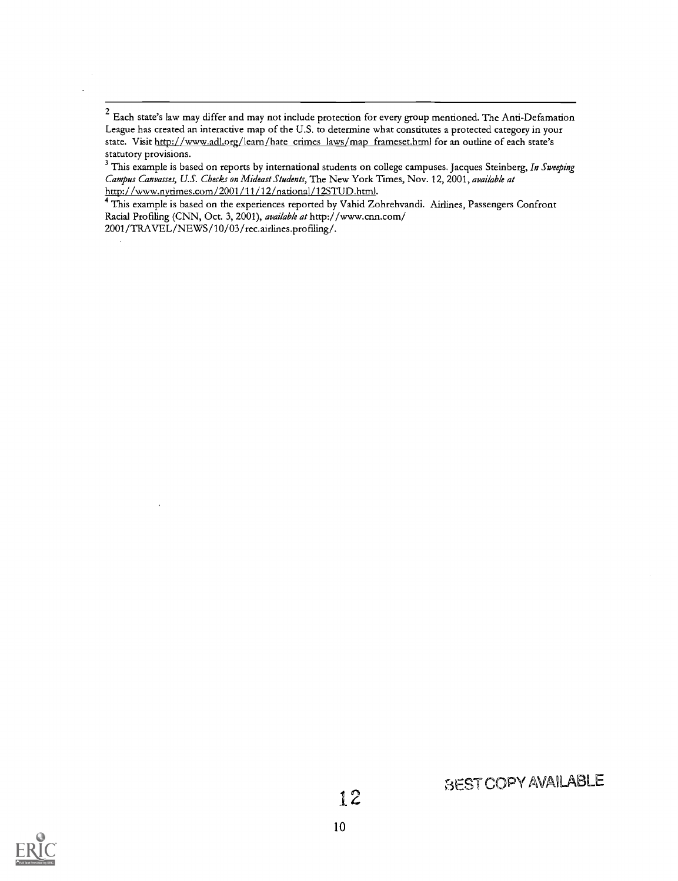$2$  Each state's law may differ and may not include protection for every group mentioned. The Anti-Defamation League has created an interactive map of the U.S. to determine what constitutes a protected category in your state. Visit http://www.adl.org/learn/hate crimes laws/map frameset.html for an outline of each state's statutory provisions.

<sup>3</sup> This example is based on reports by international students on college campuses. Jacques Steinberg, In Sweeping Campus Canvasses, U.S. Checks on Mideast Students, The New York Times, Nov. 12, 2001, available at http://www.nytimes.com/2001/11/12/national/12STUD.html.

This example is based on the experiences reported by Vahid Zohrehvandi. Airlines, Passengers Confront Racial Profiling (CNN, Oct. 3, 2001), available at http://www.cnn.com/

2001/TRAVEL/NEWS/10/03/rec.airlines.profiling/.